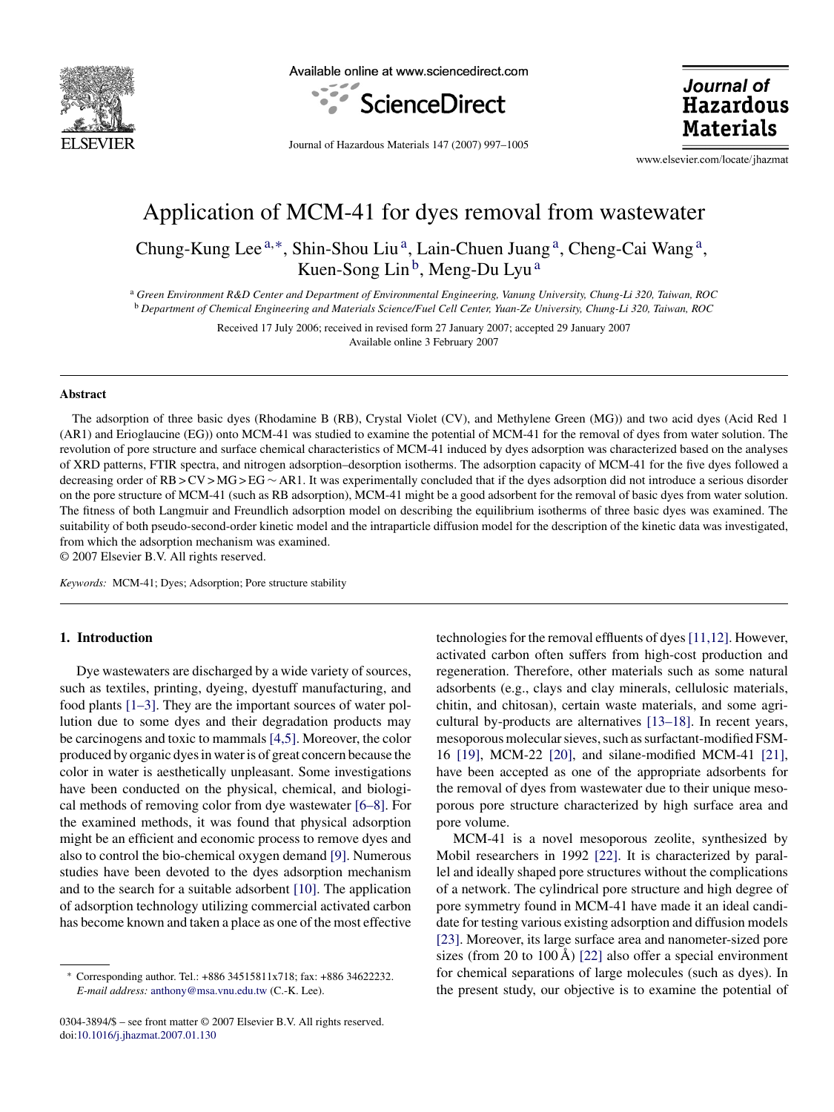

Available online at www.sciencedirect.com



Journal of **Hazardous Materials** 

Journal of Hazardous Materials 147 (2007) 997–1005

www.elsevier.com/locate/jhazmat

# Application of MCM-41 for dyes removal from wastewater

Chung-Kung Lee<sup>a,\*</sup>, Shin-Shou Liu<sup>a</sup>, Lain-Chuen Juang<sup>a</sup>, Cheng-Cai Wang<sup>a</sup>, Kuen-Song Lin<sup>b</sup>, Meng-Du Lyu<sup>a</sup>

<sup>a</sup> *Green Environment R&D Center and Department of Environmental Engineering, Vanung University, Chung-Li 320, Taiwan, ROC* <sup>b</sup> *Department of Chemical Engineering and Materials Science/Fuel Cell Center, Yuan-Ze University, Chung-Li 320, Taiwan, ROC*

> Received 17 July 2006; received in revised form 27 January 2007; accepted 29 January 2007 Available online 3 February 2007

#### **Abstract**

The adsorption of three basic dyes (Rhodamine B (RB), Crystal Violet (CV), and Methylene Green (MG)) and two acid dyes (Acid Red 1 (AR1) and Erioglaucine (EG)) onto MCM-41 was studied to examine the potential of MCM-41 for the removal of dyes from water solution. The revolution of pore structure and surface chemical characteristics of MCM-41 induced by dyes adsorption was characterized based on the analyses of XRD patterns, FTIR spectra, and nitrogen adsorption–desorption isotherms. The adsorption capacity of MCM-41 for the five dyes followed a decreasing order of RB > CV > MG > EG ∼ AR1. It was experimentally concluded that if the dyes adsorption did not introduce a serious disorder on the pore structure of MCM-41 (such as RB adsorption), MCM-41 might be a good adsorbent for the removal of basic dyes from water solution. The fitness of both Langmuir and Freundlich adsorption model on describing the equilibrium isotherms of three basic dyes was examined. The suitability of both pseudo-second-order kinetic model and the intraparticle diffusion model for the description of the kinetic data was investigated, from which the adsorption mechanism was examined.

© 2007 Elsevier B.V. All rights reserved.

*Keywords:* MCM-41; Dyes; Adsorption; Pore structure stability

# **1. Introduction**

Dye wastewaters are discharged by a wide variety of sources, such as textiles, printing, dyeing, dyestuff manufacturing, and food plants [\[1–3\].](#page-8-0) They are the important sources of water pollution due to some dyes and their degradation products may be carcinogens and toxic to mammals [\[4,5\]. M](#page-8-0)oreover, the color produced by organic dyes in water is of great concern because the color in water is aesthetically unpleasant. Some investigations have been conducted on the physical, chemical, and biological methods of removing color from dye wastewater [\[6–8\].](#page-8-0) For the examined methods, it was found that physical adsorption might be an efficient and economic process to remove dyes and also to control the bio-chemical oxygen demand [\[9\].](#page-8-0) Numerous studies have been devoted to the dyes adsorption mechanism and to the search for a suitable adsorbent [\[10\].](#page-8-0) The application of adsorption technology utilizing commercial activated carbon has become known and taken a place as one of the most effective

0304-3894/\$ – see front matter © 2007 Elsevier B.V. All rights reserved. doi[:10.1016/j.jhazmat.2007.01.130](dx.doi.org/10.1016/j.jhazmat.2007.01.130)

technologies for the removal effluents of dyes[\[11,12\]. H](#page-8-0)owever, activated carbon often suffers from high-cost production and regeneration. Therefore, other materials such as some natural adsorbents (e.g., clays and clay minerals, cellulosic materials, chitin, and chitosan), certain waste materials, and some agricultural by-products are alternatives [\[13–18\].](#page-8-0) In recent years, mesoporous molecular sieves, such as surfactant-modified FSM-16 [\[19\],](#page-8-0) MCM-22 [\[20\],](#page-8-0) and silane-modified MCM-41 [\[21\],](#page-8-0) have been accepted as one of the appropriate adsorbents for the removal of dyes from wastewater due to their unique mesoporous pore structure characterized by high surface area and pore volume.

MCM-41 is a novel mesoporous zeolite, synthesized by Mobil researchers in 1992 [\[22\].](#page-8-0) It is characterized by parallel and ideally shaped pore structures without the complications of a network. The cylindrical pore structure and high degree of pore symmetry found in MCM-41 have made it an ideal candidate for testing various existing adsorption and diffusion models [\[23\].](#page-8-0) Moreover, its large surface area and nanometer-sized pore sizes (from 20 to 100 Å) [\[22\]](#page-8-0) also offer a special environment for chemical separations of large molecules (such as dyes). In the present study, our objective is to examine the potential of

<sup>∗</sup> Corresponding author. Tel.: +886 34515811x718; fax: +886 34622232. *E-mail address:* [anthony@msa.vnu.edu.tw](mailto:anthony@msa.vnu.edu.tw) (C.-K. Lee).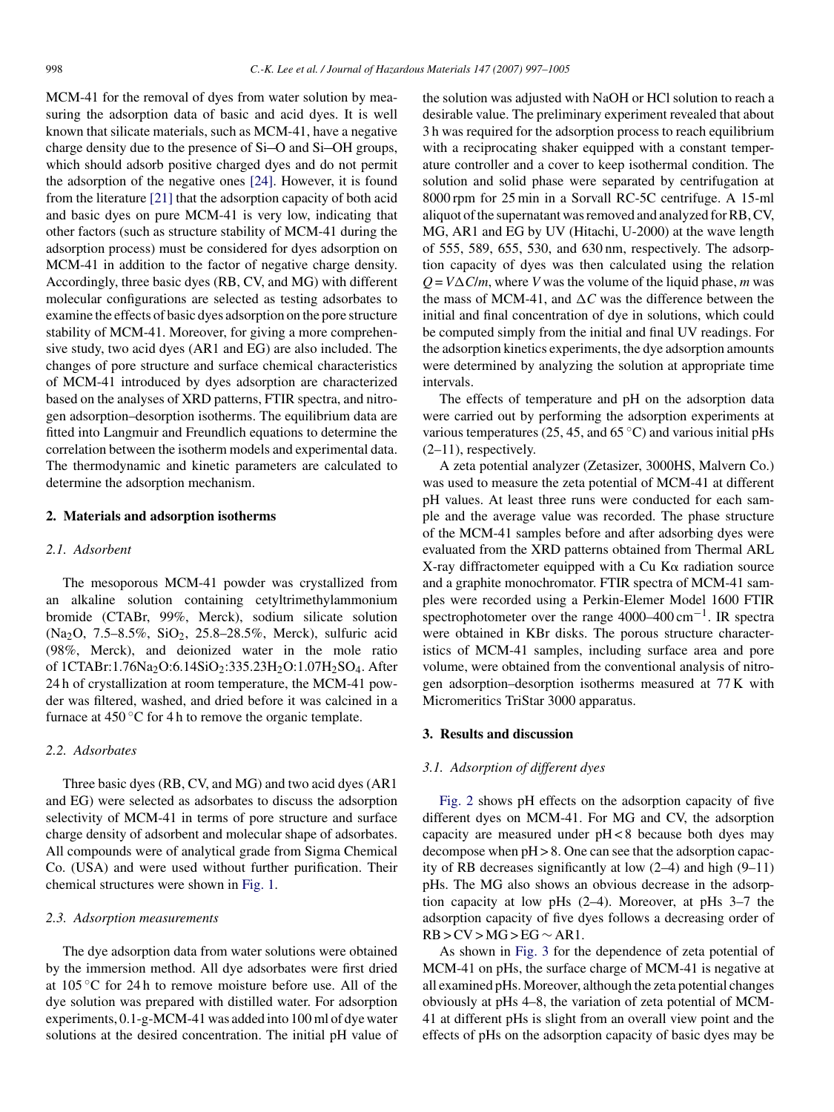MCM-41 for the removal of dyes from water solution by measuring the adsorption data of basic and acid dyes. It is well known that silicate materials, such as MCM-41, have a negative charge density due to the presence of  $Si-O$  and  $Si-OH$  groups, which should adsorb positive charged dyes and do not permit the adsorption of the negative ones [\[24\].](#page-8-0) However, it is found from the literature [\[21\]](#page-8-0) that the adsorption capacity of both acid and basic dyes on pure MCM-41 is very low, indicating that other factors (such as structure stability of MCM-41 during the adsorption process) must be considered for dyes adsorption on MCM-41 in addition to the factor of negative charge density. Accordingly, three basic dyes (RB, CV, and MG) with different molecular configurations are selected as testing adsorbates to examine the effects of basic dyes adsorption on the pore structure stability of MCM-41. Moreover, for giving a more comprehensive study, two acid dyes (AR1 and EG) are also included. The changes of pore structure and surface chemical characteristics of MCM-41 introduced by dyes adsorption are characterized based on the analyses of XRD patterns, FTIR spectra, and nitrogen adsorption–desorption isotherms. The equilibrium data are fitted into Langmuir and Freundlich equations to determine the correlation between the isotherm models and experimental data. The thermodynamic and kinetic parameters are calculated to determine the adsorption mechanism.

# **2. Materials and adsorption isotherms**

## *2.1. Adsorbent*

The mesoporous MCM-41 powder was crystallized from an alkaline solution containing cetyltrimethylammonium bromide (CTABr, 99%, Merck), sodium silicate solution (Na2O, 7.5–8.5%, SiO2, 25.8–28.5%, Merck), sulfuric acid (98%, Merck), and deionized water in the mole ratio of 1CTABr:1.76Na2O:6.14SiO2:335.23H2O:1.07H2SO4. After 24 h of crystallization at room temperature, the MCM-41 powder was filtered, washed, and dried before it was calcined in a furnace at  $450^{\circ}$ C for 4 h to remove the organic template.

# *2.2. Adsorbates*

Three basic dyes (RB, CV, and MG) and two acid dyes (AR1 and EG) were selected as adsorbates to discuss the adsorption selectivity of MCM-41 in terms of pore structure and surface charge density of adsorbent and molecular shape of adsorbates. All compounds were of analytical grade from Sigma Chemical Co. (USA) and were used without further purification. Their chemical structures were shown in [Fig. 1.](#page-2-0)

#### *2.3. Adsorption measurements*

The dye adsorption data from water solutions were obtained by the immersion method. All dye adsorbates were first dried at 105 ◦C for 24 h to remove moisture before use. All of the dye solution was prepared with distilled water. For adsorption experiments, 0.1-g-MCM-41 was added into 100 ml of dye water solutions at the desired concentration. The initial pH value of the solution was adjusted with NaOH or HCl solution to reach a desirable value. The preliminary experiment revealed that about 3 h was required for the adsorption process to reach equilibrium with a reciprocating shaker equipped with a constant temperature controller and a cover to keep isothermal condition. The solution and solid phase were separated by centrifugation at 8000 rpm for 25 min in a Sorvall RC-5C centrifuge. A 15-ml aliquot of the supernatant was removed and analyzed for RB, CV, MG, AR1 and EG by UV (Hitachi, U-2000) at the wave length of 555, 589, 655, 530, and 630 nm, respectively. The adsorption capacity of dyes was then calculated using the relation  $Q = V\Delta C/m$ , where *V* was the volume of the liquid phase, *m* was the mass of MCM-41, and  $\Delta C$  was the difference between the initial and final concentration of dye in solutions, which could be computed simply from the initial and final UV readings. For the adsorption kinetics experiments, the dye adsorption amounts were determined by analyzing the solution at appropriate time intervals.

The effects of temperature and pH on the adsorption data were carried out by performing the adsorption experiments at various temperatures (25, 45, and 65 $\degree$ C) and various initial pHs (2–11), respectively.

A zeta potential analyzer (Zetasizer, 3000HS, Malvern Co.) was used to measure the zeta potential of MCM-41 at different pH values. At least three runs were conducted for each sample and the average value was recorded. The phase structure of the MCM-41 samples before and after adsorbing dyes were evaluated from the XRD patterns obtained from Thermal ARL  $X$ -ray diffractometer equipped with a Cu  $K\alpha$  radiation source and a graphite monochromator. FTIR spectra of MCM-41 samples were recorded using a Perkin-Elemer Model 1600 FTIR spectrophotometer over the range 4000–400 cm−1. IR spectra were obtained in KBr disks. The porous structure characteristics of MCM-41 samples, including surface area and pore volume, were obtained from the conventional analysis of nitrogen adsorption–desorption isotherms measured at 77 K with Micromeritics TriStar 3000 apparatus.

## **3. Results and discussion**

#### *3.1. Adsorption of different dyes*

[Fig. 2](#page-3-0) shows pH effects on the adsorption capacity of five different dyes on MCM-41. For MG and CV, the adsorption capacity are measured under pH < 8 because both dyes may decompose when pH > 8. One can see that the adsorption capacity of RB decreases significantly at low (2–4) and high (9–11) pHs. The MG also shows an obvious decrease in the adsorption capacity at low pHs (2–4). Moreover, at pHs 3–7 the adsorption capacity of five dyes follows a decreasing order of  $RB > CV > MG > EG \sim AR1$ .

As shown in [Fig. 3](#page-3-0) for the dependence of zeta potential of MCM-41 on pHs, the surface charge of MCM-41 is negative at all examined pHs. Moreover, although the zeta potential changes obviously at pHs 4–8, the variation of zeta potential of MCM-41 at different pHs is slight from an overall view point and the effects of pHs on the adsorption capacity of basic dyes may be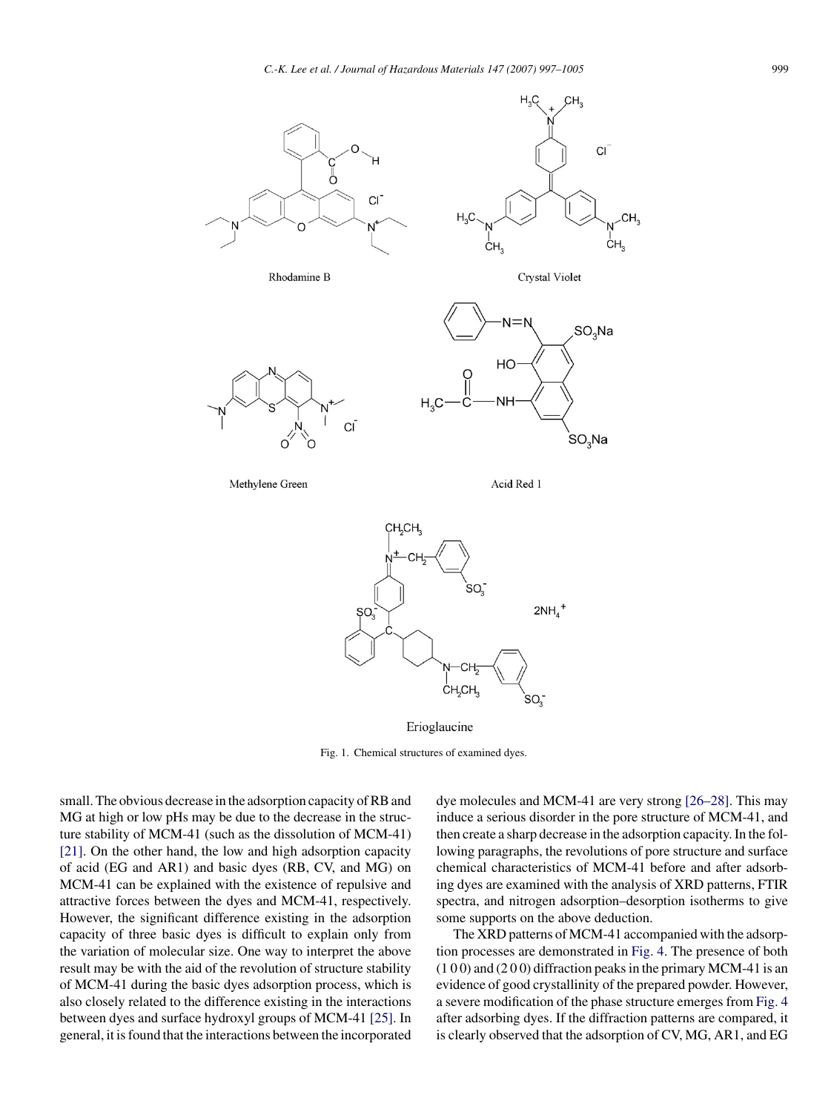<span id="page-2-0"></span>



Erioglaucine

Fig. 1. Chemical structures of examined dyes.

small. The obvious decrease in the adsorption capacity of RB and MG at high or low pHs may be due to the decrease in the structure stability of MCM-41 (such as the dissolution of MCM-41) [\[21\].](#page-8-0) On the other hand, the low and high adsorption capacity of acid (EG and AR1) and basic dyes (RB, CV, and MG) on MCM-41 can be explained with the existence of repulsive and attractive forces between the dyes and MCM-41, respectively. However, the significant difference existing in the adsorption capacity of three basic dyes is difficult to explain only from the variation of molecular size. One way to interpret the above result may be with the aid of the revolution of structure stability of MCM-41 during the basic dyes adsorption process, which is also closely related to the difference existing in the interactions between dyes and surface hydroxyl groups of MCM-41 [\[25\]. I](#page-8-0)n general, it is found that the interactions between the incorporated dye molecules and MCM-41 are very strong [\[26–28\]. T](#page-8-0)his may induce a serious disorder in the pore structure of MCM-41, and then create a sharp decrease in the adsorption capacity. In the following paragraphs, the revolutions of pore structure and surface chemical characteristics of MCM-41 before and after adsorbing dyes are examined with the analysis of XRD patterns, FTIR spectra, and nitrogen adsorption–desorption isotherms to give some supports on the above deduction.

The XRD patterns of MCM-41 accompanied with the adsorption processes are demonstrated in [Fig. 4.](#page-3-0) The presence of both  $(100)$  and  $(200)$  diffraction peaks in the primary MCM-41 is an evidence of good crystallinity of the prepared powder. However, a severe modification of the phase structure emerges from [Fig. 4](#page-3-0) after adsorbing dyes. If the diffraction patterns are compared, it is clearly observed that the adsorption of CV, MG, AR1, and EG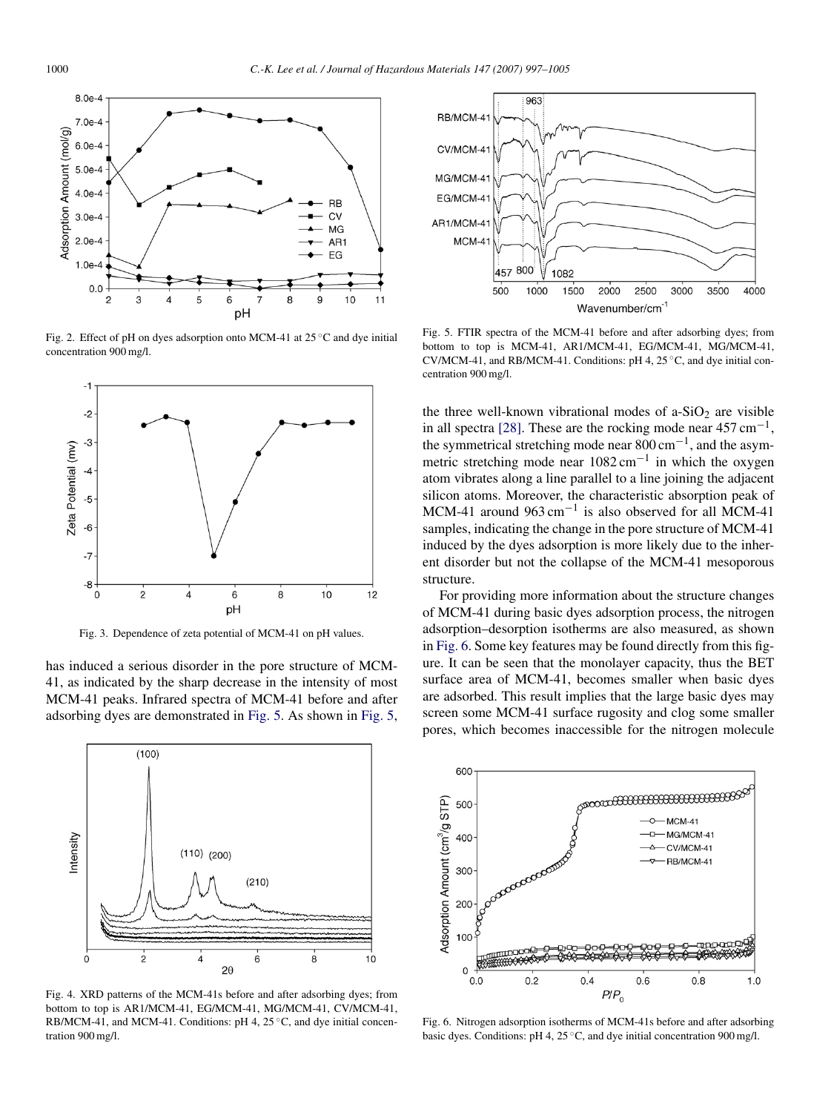<span id="page-3-0"></span>

Fig. 2. Effect of pH on dyes adsorption onto MCM-41 at  $25^{\circ}$ C and dye initial concentration 900 mg/l.



Fig. 3. Dependence of zeta potential of MCM-41 on pH values.

has induced a serious disorder in the pore structure of MCM-41, as indicated by the sharp decrease in the intensity of most MCM-41 peaks. Infrared spectra of MCM-41 before and after adsorbing dyes are demonstrated in Fig. 5. As shown in Fig. 5,



Fig. 4. XRD patterns of the MCM-41s before and after adsorbing dyes; from bottom to top is AR1/MCM-41, EG/MCM-41, MG/MCM-41, CV/MCM-41, RB/MCM-41, and MCM-41. Conditions: pH 4, 25 °C, and dye initial concentration 900 mg/l.



Fig. 5. FTIR spectra of the MCM-41 before and after adsorbing dyes; from bottom to top is MCM-41, AR1/MCM-41, EG/MCM-41, MG/MCM-41, CV/MCM-41, and RB/MCM-41. Conditions: pH 4, 25 ◦C, and dye initial concentration 900 mg/l.

the three well-known vibrational modes of  $a-SiO<sub>2</sub>$  are visible in all spectra [\[28\].](#page-8-0) These are the rocking mode near  $457 \text{ cm}^{-1}$ , the symmetrical stretching mode near 800 cm−1, and the asymmetric stretching mode near 1082 cm<sup>-1</sup> in which the oxygen atom vibrates along a line parallel to a line joining the adjacent silicon atoms. Moreover, the characteristic absorption peak of MCM-41 around 963 cm−<sup>1</sup> is also observed for all MCM-41 samples, indicating the change in the pore structure of MCM-41 induced by the dyes adsorption is more likely due to the inherent disorder but not the collapse of the MCM-41 mesoporous structure.

For providing more information about the structure changes of MCM-41 during basic dyes adsorption process, the nitrogen adsorption–desorption isotherms are also measured, as shown in Fig. 6. Some key features may be found directly from this figure. It can be seen that the monolayer capacity, thus the BET surface area of MCM-41, becomes smaller when basic dyes are adsorbed. This result implies that the large basic dyes may screen some MCM-41 surface rugosity and clog some smaller pores, which becomes inaccessible for the nitrogen molecule



Fig. 6. Nitrogen adsorption isotherms of MCM-41s before and after adsorbing basic dyes. Conditions: pH 4, 25 ◦C, and dye initial concentration 900 mg/l.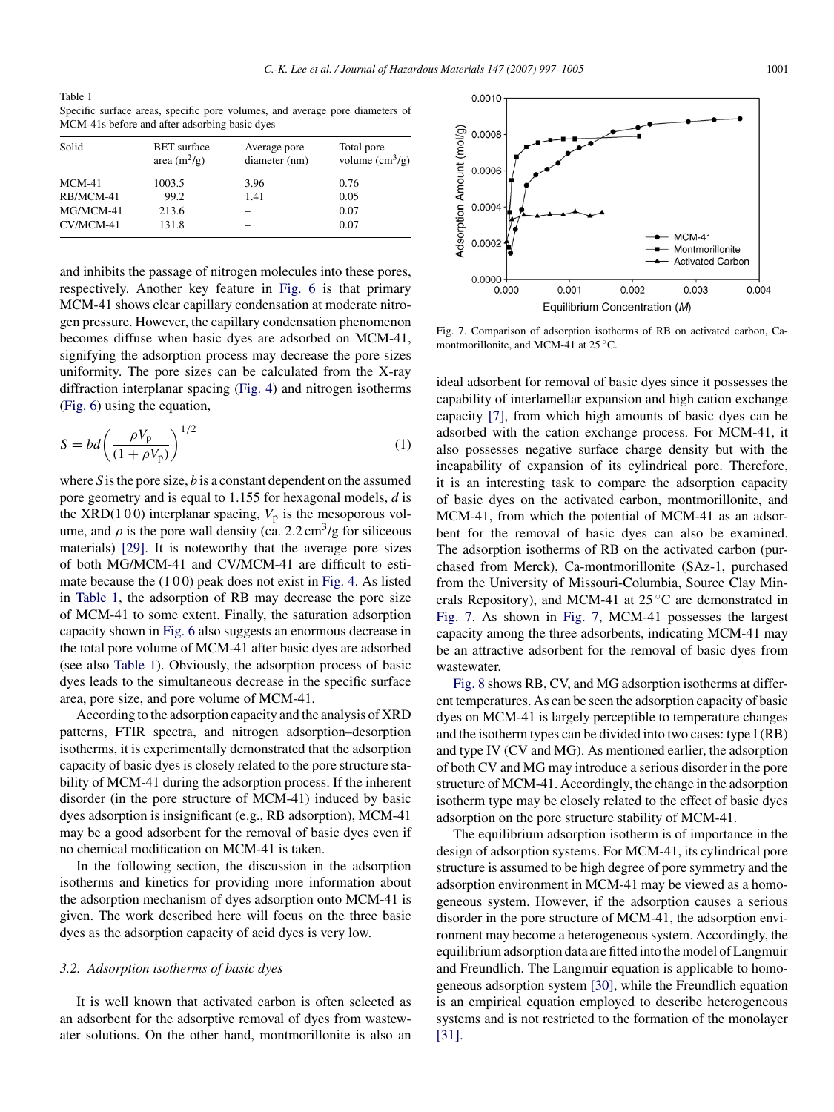Table 1 Specific surface areas, specific pore volumes, and average pore diameters of MCM-41s before and after adsorbing basic dyes

| Solid     | <b>BET</b> surface<br>area $(m^2/g)$ | Average pore<br>diameter (nm) | Total pore<br>volume $\text{cm}^3\text{/g}$ ) |
|-----------|--------------------------------------|-------------------------------|-----------------------------------------------|
| $MCM-41$  | 1003.5                               | 3.96                          | 0.76                                          |
| RB/MCM-41 | 99.2                                 | 1.41                          | 0.05                                          |
| MG/MCM-41 | 213.6                                |                               | 0.07                                          |
| CV/MCM-41 | 131.8                                |                               | 0.07                                          |
|           |                                      |                               |                                               |

and inhibits the passage of nitrogen molecules into these pores, respectively. Another key feature in [Fig. 6](#page-3-0) is that primary MCM-41 shows clear capillary condensation at moderate nitrogen pressure. However, the capillary condensation phenomenon becomes diffuse when basic dyes are adsorbed on MCM-41, signifying the adsorption process may decrease the pore sizes uniformity. The pore sizes can be calculated from the X-ray diffraction interplanar spacing ([Fig. 4\)](#page-3-0) and nitrogen isotherms ([Fig. 6\)](#page-3-0) using the equation,

$$
S = bd\left(\frac{\rho V_{\rm p}}{(1 + \rho V_{\rm p})}\right)^{1/2} \tag{1}
$$

where *S* is the pore size, *b* is a constant dependent on the assumed pore geometry and is equal to 1.155 for hexagonal models, *d* is the XRD(100) interplanar spacing,  $V_p$  is the mesoporous volume, and  $\rho$  is the pore wall density (ca. 2.2 cm<sup>3</sup>/g for siliceous materials) [\[29\].](#page-8-0) It is noteworthy that the average pore sizes of both MG/MCM-41 and CV/MCM-41 are difficult to estimate because the  $(100)$  peak does not exist in [Fig. 4.](#page-3-0) As listed in Table 1, the adsorption of RB may decrease the pore size of MCM-41 to some extent. Finally, the saturation adsorption capacity shown in [Fig. 6](#page-3-0) also suggests an enormous decrease in the total pore volume of MCM-41 after basic dyes are adsorbed (see also Table 1). Obviously, the adsorption process of basic dyes leads to the simultaneous decrease in the specific surface area, pore size, and pore volume of MCM-41.

According to the adsorption capacity and the analysis of XRD patterns, FTIR spectra, and nitrogen adsorption–desorption isotherms, it is experimentally demonstrated that the adsorption capacity of basic dyes is closely related to the pore structure stability of MCM-41 during the adsorption process. If the inherent disorder (in the pore structure of MCM-41) induced by basic dyes adsorption is insignificant (e.g., RB adsorption), MCM-41 may be a good adsorbent for the removal of basic dyes even if no chemical modification on MCM-41 is taken.

In the following section, the discussion in the adsorption isotherms and kinetics for providing more information about the adsorption mechanism of dyes adsorption onto MCM-41 is given. The work described here will focus on the three basic dyes as the adsorption capacity of acid dyes is very low.

#### *3.2. Adsorption isotherms of basic dyes*

It is well known that activated carbon is often selected as an adsorbent for the adsorptive removal of dyes from wastewater solutions. On the other hand, montmorillonite is also an



Fig. 7. Comparison of adsorption isotherms of RB on activated carbon, Camontmorillonite, and MCM-41 at 25 ◦C.

ideal adsorbent for removal of basic dyes since it possesses the capability of interlamellar expansion and high cation exchange capacity [\[7\],](#page-8-0) from which high amounts of basic dyes can be adsorbed with the cation exchange process. For MCM-41, it also possesses negative surface charge density but with the incapability of expansion of its cylindrical pore. Therefore, it is an interesting task to compare the adsorption capacity of basic dyes on the activated carbon, montmorillonite, and MCM-41, from which the potential of MCM-41 as an adsorbent for the removal of basic dyes can also be examined. The adsorption isotherms of RB on the activated carbon (purchased from Merck), Ca-montmorillonite (SAz-1, purchased from the University of Missouri-Columbia, Source Clay Minerals Repository), and MCM-41 at  $25^{\circ}$ C are demonstrated in Fig. 7. As shown in Fig. 7, MCM-41 possesses the largest capacity among the three adsorbents, indicating MCM-41 may be an attractive adsorbent for the removal of basic dyes from wastewater.

[Fig. 8](#page-5-0) shows RB, CV, and MG adsorption isotherms at different temperatures. As can be seen the adsorption capacity of basic dyes on MCM-41 is largely perceptible to temperature changes and the isotherm types can be divided into two cases: type I (RB) and type IV (CV and MG). As mentioned earlier, the adsorption of both CV and MG may introduce a serious disorder in the pore structure of MCM-41. Accordingly, the change in the adsorption isotherm type may be closely related to the effect of basic dyes adsorption on the pore structure stability of MCM-41.

The equilibrium adsorption isotherm is of importance in the design of adsorption systems. For MCM-41, its cylindrical pore structure is assumed to be high degree of pore symmetry and the adsorption environment in MCM-41 may be viewed as a homogeneous system. However, if the adsorption causes a serious disorder in the pore structure of MCM-41, the adsorption environment may become a heterogeneous system. Accordingly, the equilibrium adsorption data are fitted into the model of Langmuir and Freundlich. The Langmuir equation is applicable to homogeneous adsorption system [\[30\],](#page-8-0) while the Freundlich equation is an empirical equation employed to describe heterogeneous systems and is not restricted to the formation of the monolayer [\[31\].](#page-8-0)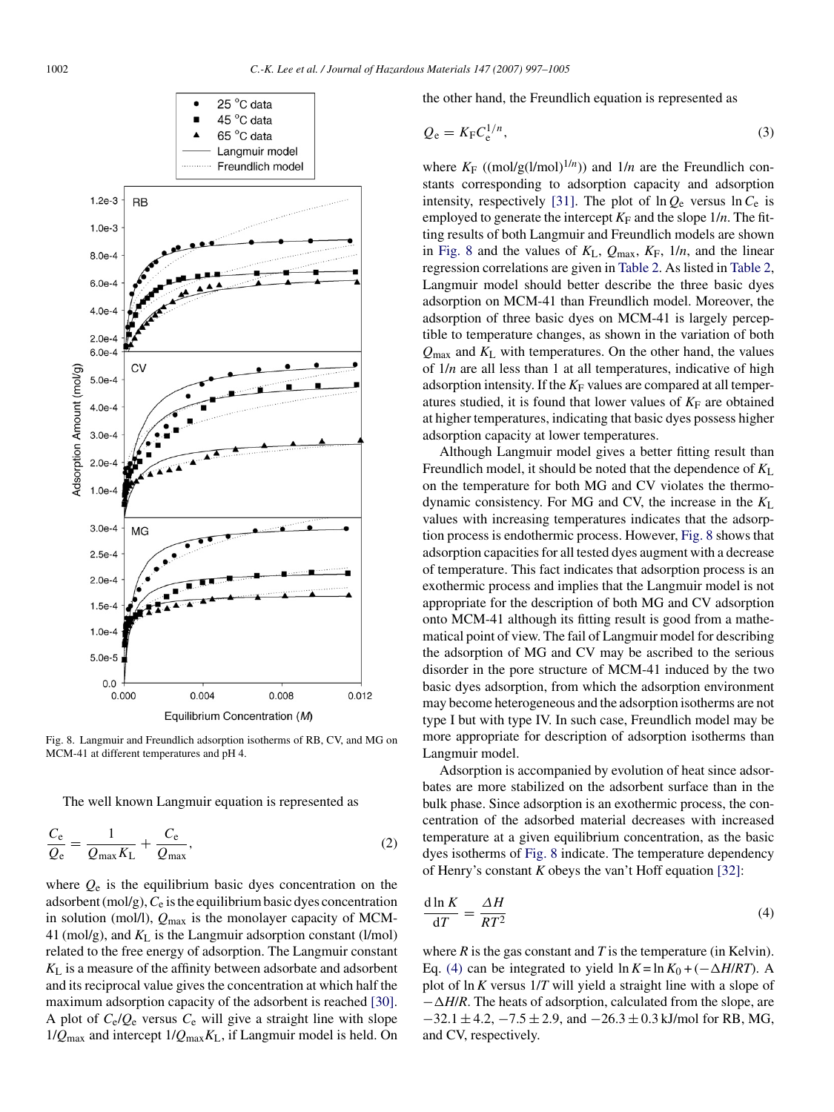<span id="page-5-0"></span>

Fig. 8. Langmuir and Freundlich adsorption isotherms of RB, CV, and MG on MCM-41 at different temperatures and pH 4.

The well known Langmuir equation is represented as

$$
\frac{C_{\rm e}}{Q_{\rm e}} = \frac{1}{Q_{\rm max} K_{\rm L}} + \frac{C_{\rm e}}{Q_{\rm max}},\tag{2}
$$

where  $Q_e$  is the equilibrium basic dyes concentration on the adsorbent (mol/g),*C*<sup>e</sup> is the equilibrium basic dyes concentration in solution (mol/l), *Q*max is the monolayer capacity of MCM-41 (mol/g), and *K*<sup>L</sup> is the Langmuir adsorption constant (l/mol) related to the free energy of adsorption. The Langmuir constant *K*<sup>L</sup> is a measure of the affinity between adsorbate and adsorbent and its reciprocal value gives the concentration at which half the maximum adsorption capacity of the adsorbent is reached [\[30\].](#page-8-0) A plot of  $C_e/Q_e$  versus  $C_e$  will give a straight line with slope 1/*Q*max and intercept 1/*Q*max*K*L, if Langmuir model is held. On

the other hand, the Freundlich equation is represented as

$$
Q_{\rm e} = K_{\rm F} C_{\rm e}^{1/n},\tag{3}
$$

where  $K_F$  ((mol/g(l/mol)<sup>1/*n*</sup>)) and 1/*n* are the Freundlich constants corresponding to adsorption capacity and adsorption intensity, respectively [\[31\].](#page-8-0) The plot of  $\ln Q_e$  versus  $\ln C_e$  is employed to generate the intercept  $K_F$  and the slope  $1/n$ . The fitting results of both Langmuir and Freundlich models are shown in Fig. 8 and the values of  $K_L$ ,  $Q_{\text{max}}$ ,  $K_F$ ,  $1/n$ , and the linear regression correlations are given in [Table 2. A](#page-6-0)s listed in [Table 2,](#page-6-0) Langmuir model should better describe the three basic dyes adsorption on MCM-41 than Freundlich model. Moreover, the adsorption of three basic dyes on MCM-41 is largely perceptible to temperature changes, as shown in the variation of both *Q*max and *K*<sup>L</sup> with temperatures. On the other hand, the values of 1/*n* are all less than 1 at all temperatures, indicative of high adsorption intensity. If the  $K_F$  values are compared at all temperatures studied, it is found that lower values of  $K_F$  are obtained at higher temperatures, indicating that basic dyes possess higher adsorption capacity at lower temperatures.

Although Langmuir model gives a better fitting result than Freundlich model, it should be noted that the dependence of  $K_L$ on the temperature for both MG and CV violates the thermodynamic consistency. For MG and CV, the increase in the *K*<sup>L</sup> values with increasing temperatures indicates that the adsorption process is endothermic process. However, Fig. 8 shows that adsorption capacities for all tested dyes augment with a decrease of temperature. This fact indicates that adsorption process is an exothermic process and implies that the Langmuir model is not appropriate for the description of both MG and CV adsorption onto MCM-41 although its fitting result is good from a mathematical point of view. The fail of Langmuir model for describing the adsorption of MG and CV may be ascribed to the serious disorder in the pore structure of MCM-41 induced by the two basic dyes adsorption, from which the adsorption environment may become heterogeneous and the adsorption isotherms are not type I but with type IV. In such case, Freundlich model may be more appropriate for description of adsorption isotherms than Langmuir model.

Adsorption is accompanied by evolution of heat since adsorbates are more stabilized on the adsorbent surface than in the bulk phase. Since adsorption is an exothermic process, the concentration of the adsorbed material decreases with increased temperature at a given equilibrium concentration, as the basic dyes isotherms of Fig. 8 indicate. The temperature dependency of Henry's constant *K* obeys the van't Hoff equation [\[32\]:](#page-8-0)

$$
\frac{\mathrm{d}\ln K}{\mathrm{d}T} = \frac{\Delta H}{RT^2} \tag{4}
$$

where  $R$  is the gas constant and  $T$  is the temperature (in Kelvin). Eq. (4) can be integrated to yield  $\ln K = \ln K_0 + (-\Delta H/RT)$ . A plot of ln*K* versus 1/*T* will yield a straight line with a slope of −-*H*/*R*. The heats of adsorption, calculated from the slope, are  $-32.1 \pm 4.2, -7.5 \pm 2.9$ , and  $-26.3 \pm 0.3$  kJ/mol for RB, MG, and CV, respectively.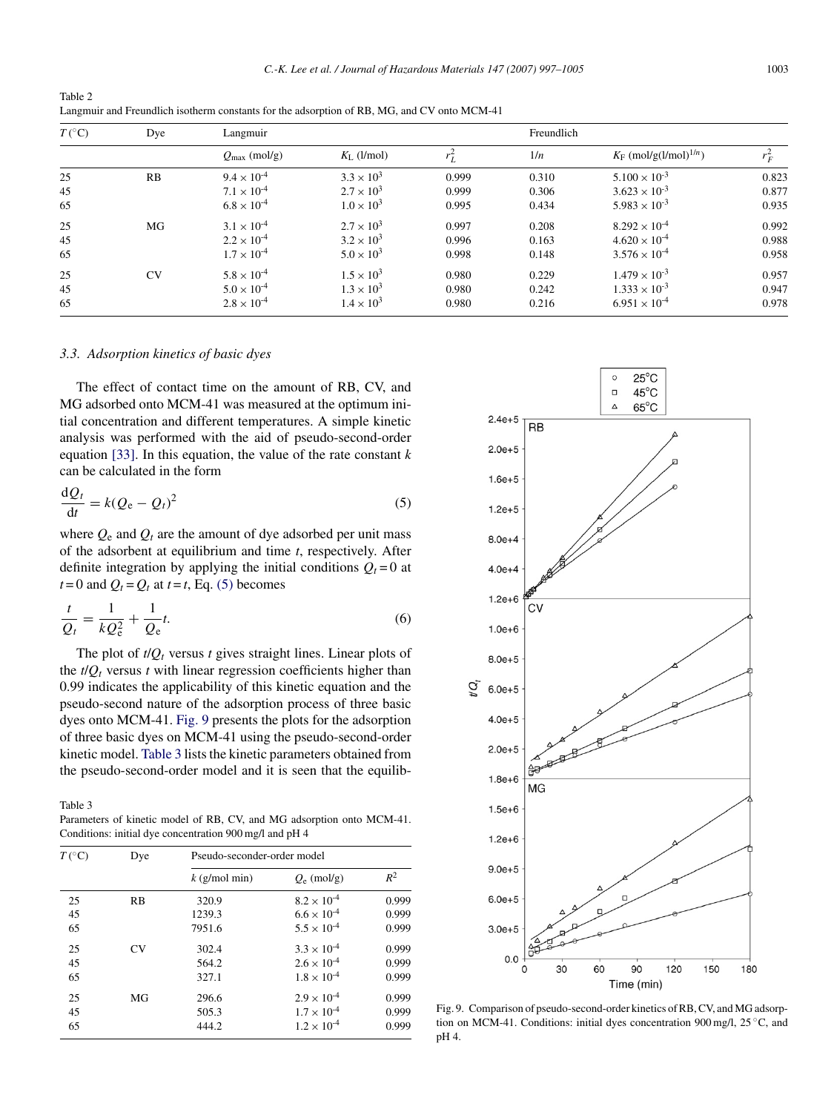<span id="page-6-0"></span>Table 2 Langmuir and Freundlich isotherm constants for the adsorption of RB, MG, and CV onto MCM-41

| $T({}^{\circ}C)$ | Dye       | Langmuir                 |                        |         | Freundlich |                                      |         |
|------------------|-----------|--------------------------|------------------------|---------|------------|--------------------------------------|---------|
|                  |           | $Q_{\text{max}}$ (mol/g) | $K_{\text{L}}$ (l/mol) | $r_L^2$ | 1/n        | $K_F$ (mol/g(l/mol) <sup>1/n</sup> ) | $r_F^2$ |
| 25               | RB        | $9.4 \times 10^{-4}$     | $3.3 \times 10^{3}$    | 0.999   | 0.310      | $5.100 \times 10^{-3}$               | 0.823   |
| 45               |           | $7.1 \times 10^{-4}$     | $2.7 \times 10^{3}$    | 0.999   | 0.306      | $3.623 \times 10^{-3}$               | 0.877   |
| 65               |           | $6.8 \times 10^{-4}$     | $1.0 \times 10^{3}$    | 0.995   | 0.434      | $5.983 \times 10^{-3}$               | 0.935   |
| 25               | MG        | $3.1 \times 10^{-4}$     | $2.7 \times 10^{3}$    | 0.997   | 0.208      | $8.292 \times 10^{-4}$               | 0.992   |
| 45               |           | $2.2 \times 10^{-4}$     | $3.2 \times 10^{3}$    | 0.996   | 0.163      | $4.620 \times 10^{-4}$               | 0.988   |
| 65               |           | $1.7 \times 10^{-4}$     | $5.0 \times 10^{3}$    | 0.998   | 0.148      | $3.576 \times 10^{-4}$               | 0.958   |
| 25               | <b>CV</b> | $5.8 \times 10^{-4}$     | $1.5 \times 10^{3}$    | 0.980   | 0.229      | $1.479 \times 10^{-3}$               | 0.957   |
| 45               |           | $5.0 \times 10^{-4}$     | $1.3 \times 10^{3}$    | 0.980   | 0.242      | $1.333 \times 10^{-3}$               | 0.947   |
| 65               |           | $2.8 \times 10^{-4}$     | $1.4 \times 10^{3}$    | 0.980   | 0.216      | $6.951 \times 10^{-4}$               | 0.978   |

#### *3.3. Adsorption kinetics of basic dyes*

The effect of contact time on the amount of RB, CV, and MG adsorbed onto MCM-41 was measured at the optimum initial concentration and different temperatures. A simple kinetic analysis was performed with the aid of pseudo-second-order equation [\[33\].](#page-8-0) In this equation, the value of the rate constant *k* can be calculated in the form

$$
\frac{\mathrm{d}Q_t}{\mathrm{d}t} = k(Q_e - Q_t)^2 \tag{5}
$$

where  $Q_e$  and  $Q_t$  are the amount of dye adsorbed per unit mass of the adsorbent at equilibrium and time *t*, respectively. After definite integration by applying the initial conditions  $Q_t = 0$  at  $t = 0$  and  $Q_t = Q_t$  at  $t = t$ , Eq. (5) becomes

$$
\frac{t}{Q_t} = \frac{1}{kQ_e^2} + \frac{1}{Q_e}t.\tag{6}
$$

The plot of  $t/Q_t$  versus  $t$  gives straight lines. Linear plots of the  $t/Q_t$  versus  $t$  with linear regression coefficients higher than 0.99 indicates the applicability of this kinetic equation and the pseudo-second nature of the adsorption process of three basic dyes onto MCM-41. Fig. 9 presents the plots for the adsorption of three basic dyes on MCM-41 using the pseudo-second-order kinetic model. Table 3 lists the kinetic parameters obtained from the pseudo-second-order model and it is seen that the equilib-

Table 3

Parameters of kinetic model of RB, CV, and MG adsorption onto MCM-41. Conditions: initial dye concentration 900 mg/l and pH 4

| $T({}^{\circ}C)$ | Dye       | Pseudo-seconder-order model |                      |       |  |
|------------------|-----------|-----------------------------|----------------------|-------|--|
|                  |           | $k$ (g/mol min)             | $Q_{\rm e}$ (mol/g)  | $R^2$ |  |
| 25               | RB        | 320.9                       | $8.2 \times 10^{-4}$ | 0.999 |  |
| 45               |           | 1239.3                      | $6.6 \times 10^{-4}$ | 0.999 |  |
| 65               |           | 7951.6                      | $5.5 \times 10^{-4}$ | 0.999 |  |
| 25               | <b>CV</b> | 302.4                       | $3.3 \times 10^{-4}$ | 0.999 |  |
| 45               |           | 564.2                       | $2.6 \times 10^{-4}$ | 0.999 |  |
| 65               |           | 327.1                       | $1.8 \times 10^{-4}$ | 0.999 |  |
| 25               | MG        | 296.6                       | $2.9 \times 10^{-4}$ | 0.999 |  |
| 45               |           | 505.3                       | $1.7 \times 10^{-4}$ | 0.999 |  |
| 65               |           | 444.2                       | $1.2 \times 10^{-4}$ | 0.999 |  |



Fig. 9. Comparison of pseudo-second-order kinetics of RB, CV, and MG adsorption on MCM-41. Conditions: initial dyes concentration 900 mg/l, 25 ◦C, and pH 4.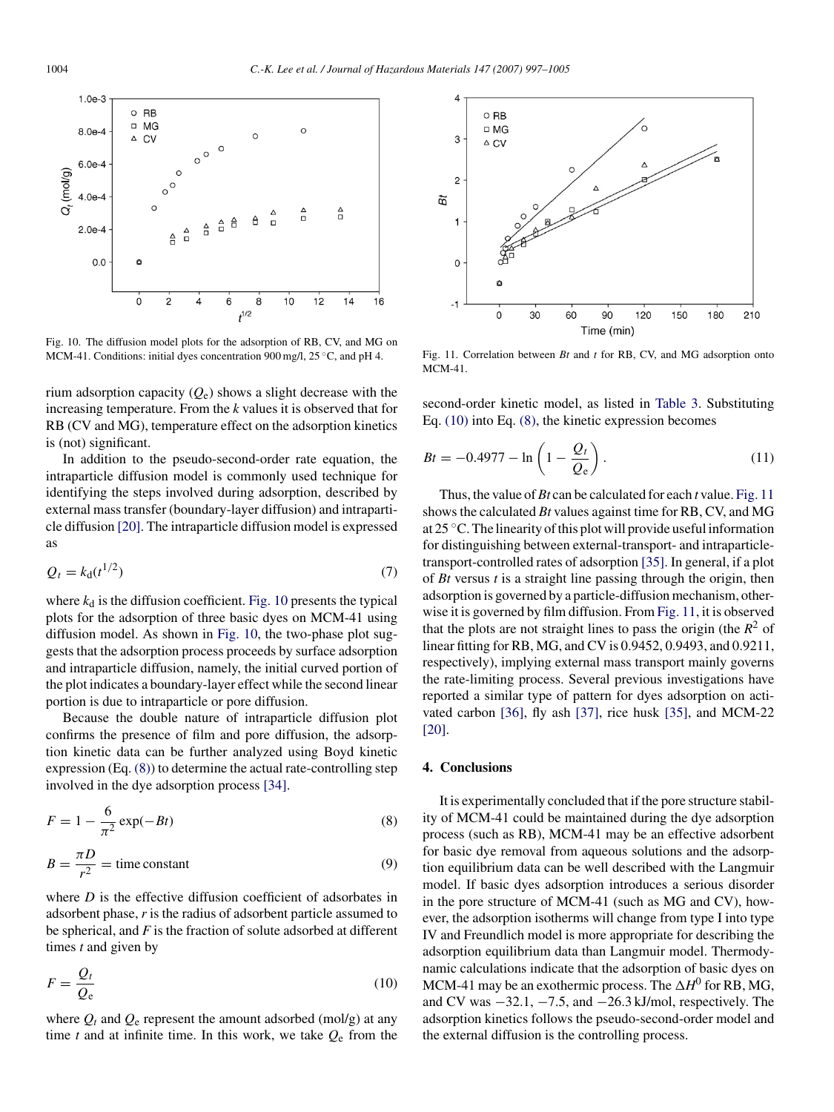

Fig. 10. The diffusion model plots for the adsorption of RB, CV, and MG on MCM-41. Conditions: initial dyes concentration 900 mg/l, 25 ◦C, and pH 4.

rium adsorption capacity (*Q*e) shows a slight decrease with the increasing temperature. From the *k* values it is observed that for RB (CV and MG), temperature effect on the adsorption kinetics is (not) significant.

In addition to the pseudo-second-order rate equation, the intraparticle diffusion model is commonly used technique for identifying the steps involved during adsorption, described by external mass transfer (boundary-layer diffusion) and intraparticle diffusion [\[20\]. T](#page-8-0)he intraparticle diffusion model is expressed as

$$
Q_t = k_d(t^{1/2})
$$
\n<sup>(7)</sup>

where  $k_d$  is the diffusion coefficient. Fig. 10 presents the typical plots for the adsorption of three basic dyes on MCM-41 using diffusion model. As shown in Fig. 10, the two-phase plot suggests that the adsorption process proceeds by surface adsorption and intraparticle diffusion, namely, the initial curved portion of the plot indicates a boundary-layer effect while the second linear portion is due to intraparticle or pore diffusion.

Because the double nature of intraparticle diffusion plot confirms the presence of film and pore diffusion, the adsorption kinetic data can be further analyzed using Boyd kinetic expression (Eq. (8)) to determine the actual rate-controlling step involved in the dye adsorption process [\[34\].](#page-8-0)

$$
F = 1 - \frac{6}{\pi^2} \exp(-Bt)
$$
\n<sup>(8)</sup>

$$
B = \frac{\pi D}{r^2} = \text{time constant} \tag{9}
$$

where *D* is the effective diffusion coefficient of adsorbates in adsorbent phase, *r* is the radius of adsorbent particle assumed to be spherical, and *F* is the fraction of solute adsorbed at different times *t* and given by

$$
F = \frac{Q_t}{Q_e} \tag{10}
$$

where  $Q_t$  and  $Q_e$  represent the amount adsorbed (mol/g) at any time *t* and at infinite time. In this work, we take  $Q_e$  from the



Fig. 11. Correlation between *Bt* and *t* for RB, CV, and MG adsorption onto MCM-41.

second-order kinetic model, as listed in [Table 3.](#page-6-0) Substituting Eq. (10) into Eq. (8), the kinetic expression becomes

$$
Bt = -0.4977 - \ln\left(1 - \frac{Q_t}{Q_e}\right). \tag{11}
$$

Thus, the value of *Bt* can be calculated for each *t* value. Fig. 11 shows the calculated *Bt* values against time for RB, CV, and MG at 25 ◦C. The linearity of this plot will provide useful information for distinguishing between external-transport- and intraparticletransport-controlled rates of adsorption [\[35\]. I](#page-8-0)n general, if a plot of *Bt* versus *t* is a straight line passing through the origin, then adsorption is governed by a particle-diffusion mechanism, otherwise it is governed by film diffusion. From Fig. 11, it is observed that the plots are not straight lines to pass the origin (the  $R^2$  of linear fitting for RB, MG, and CV is 0.9452, 0.9493, and 0.9211, respectively), implying external mass transport mainly governs the rate-limiting process. Several previous investigations have reported a similar type of pattern for dyes adsorption on activated carbon [\[36\],](#page-8-0) fly ash [\[37\],](#page-8-0) rice husk [\[35\],](#page-8-0) and MCM-22 [\[20\].](#page-8-0)

## **4. Conclusions**

It is experimentally concluded that if the pore structure stability of MCM-41 could be maintained during the dye adsorption process (such as RB), MCM-41 may be an effective adsorbent for basic dye removal from aqueous solutions and the adsorption equilibrium data can be well described with the Langmuir model. If basic dyes adsorption introduces a serious disorder in the pore structure of MCM-41 (such as MG and CV), however, the adsorption isotherms will change from type I into type IV and Freundlich model is more appropriate for describing the adsorption equilibrium data than Langmuir model. Thermodynamic calculations indicate that the adsorption of basic dyes on MCM-41 may be an exothermic process. The  $\Delta H^0$  for RB, MG, and CV was  $-32.1, -7.5$ , and  $-26.3$  kJ/mol, respectively. The adsorption kinetics follows the pseudo-second-order model and the external diffusion is the controlling process.